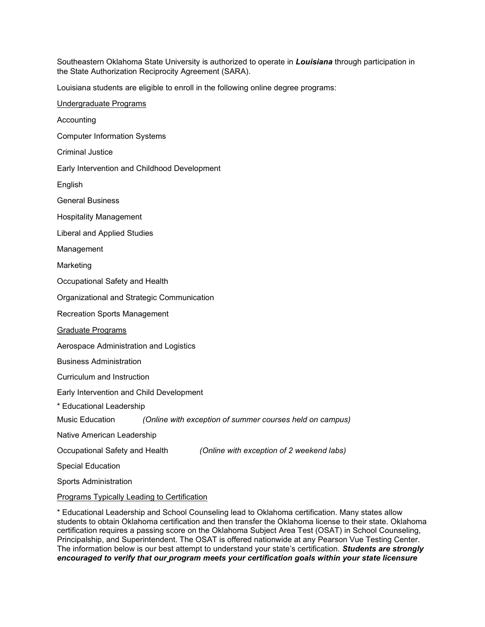Southeastern Oklahoma State University is authorized to operate in *Louisiana* through participation in the State Authorization Reciprocity Agreement (SARA).

Louisiana students are eligible to enroll in the following online degree programs:

Undergraduate Programs Accounting Computer Information Systems Criminal Justice Early Intervention and Childhood Development English General Business Hospitality Management Liberal and Applied Studies Management Marketing Occupational Safety and Health Organizational and Strategic Communication Recreation Sports Management Graduate Programs Aerospace Administration and Logistics Business Administration Curriculum and Instruction Early Intervention and Child Development \* Educational Leadership Music Education *(Online with exception of summer courses held on campus)* Native American Leadership Occupational Safety and Health *(Online with exception of 2 weekend labs)* Special Education Sports Administration Programs Typically Leading to Certification

\* Educational Leadership and School Counseling lead to Oklahoma certification. Many states allow students to obtain Oklahoma certification and then transfer the Oklahoma license to their state. Oklahoma certification requires a passing score on the Oklahoma Subject Area Test (OSAT) in School Counseling, Principalship, and Superintendent. The OSAT is offered nationwide at any Pearson Vue Testing Center. The information below is our best attempt to understand your state's certification. *Students are strongly encouraged to verify that our program meets your certification goals within your state licensure*